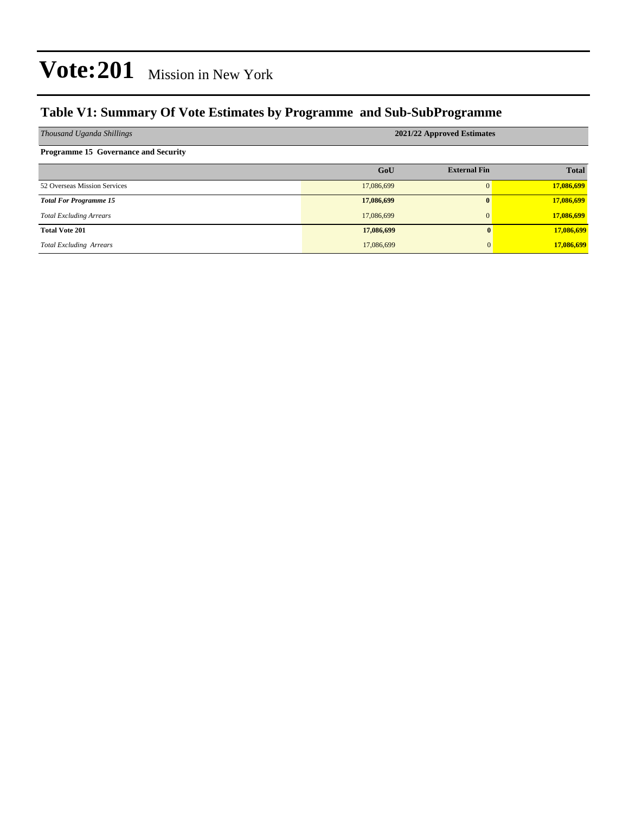#### **Table V1: Summary Of Vote Estimates by Programme and Sub-SubProgramme**

| Thousand Uganda Shillings                   | 2021/22 Approved Estimates |                     |              |  |  |  |
|---------------------------------------------|----------------------------|---------------------|--------------|--|--|--|
| <b>Programme 15 Governance and Security</b> |                            |                     |              |  |  |  |
|                                             | GoU                        | <b>External Fin</b> | <b>Total</b> |  |  |  |
| 52 Overseas Mission Services                | 17,086,699                 |                     | 17,086,699   |  |  |  |
| <b>Total For Programme 15</b>               | 17,086,699                 |                     | 17,086,699   |  |  |  |
| <b>Total Excluding Arrears</b>              | 17,086,699                 |                     | 17,086,699   |  |  |  |
| <b>Total Vote 201</b>                       | 17,086,699                 | $\bf{0}$            | 17,086,699   |  |  |  |
| <b>Total Excluding Arrears</b>              | 17,086,699                 | $\overline{0}$      | 17,086,699   |  |  |  |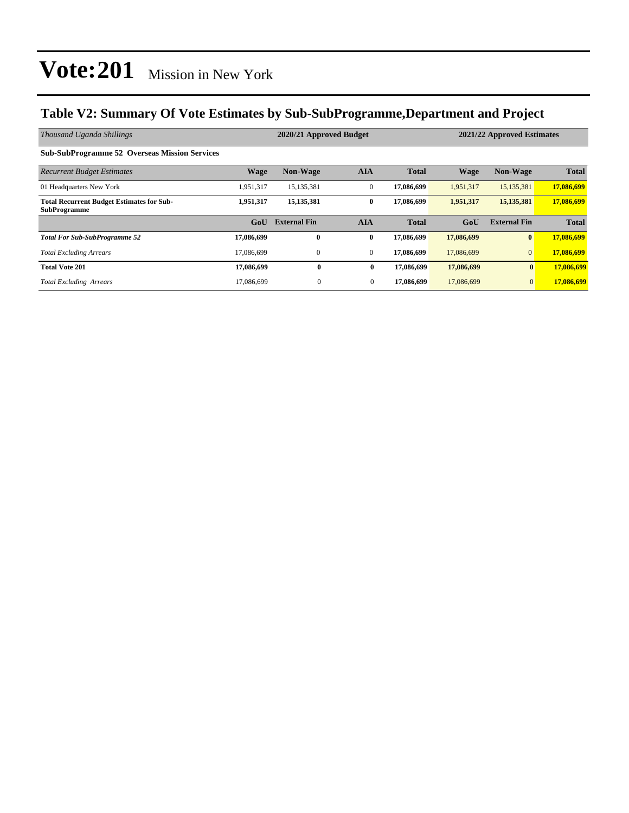#### **Table V2: Summary Of Vote Estimates by Sub-SubProgramme,Department and Project**

| Thousand Uganda Shillings                                               | 2020/21 Approved Budget<br>2021/22 Approved Estimates |                     |              |              |             |                     |              |
|-------------------------------------------------------------------------|-------------------------------------------------------|---------------------|--------------|--------------|-------------|---------------------|--------------|
| <b>Sub-SubProgramme 52 Overseas Mission Services</b>                    |                                                       |                     |              |              |             |                     |              |
| <b>Recurrent Budget Estimates</b>                                       | <b>Wage</b>                                           | <b>Non-Wage</b>     | <b>AIA</b>   | <b>Total</b> | <b>Wage</b> | <b>Non-Wage</b>     | <b>Total</b> |
| 01 Headquarters New York                                                | 1,951,317                                             | 15,135,381          | $\mathbf{0}$ | 17,086,699   | 1,951,317   | 15,135,381          | 17,086,699   |
| <b>Total Recurrent Budget Estimates for Sub-</b><br><b>SubProgramme</b> | 1,951,317                                             | 15, 135, 381        | $\bf{0}$     | 17,086,699   | 1,951,317   | 15, 135, 381        | 17,086,699   |
|                                                                         | G <sub>0</sub> U                                      | <b>External Fin</b> | <b>AIA</b>   | <b>Total</b> | GoU         | <b>External Fin</b> | <b>Total</b> |
| <b>Total For Sub-SubProgramme 52</b>                                    | 17,086,699                                            | $\bf{0}$            | $\bf{0}$     | 17,086,699   | 17,086,699  | $\bf{0}$            | 17,086,699   |
| <b>Total Excluding Arrears</b>                                          | 17.086.699                                            | $\mathbf{0}$        | $\mathbf{0}$ | 17,086,699   | 17,086,699  | $\overline{0}$      | 17,086,699   |
| <b>Total Vote 201</b>                                                   | 17,086,699                                            | $\bf{0}$            | $\bf{0}$     | 17,086,699   | 17,086,699  | $\mathbf{0}$        | 17,086,699   |
| <b>Total Excluding Arrears</b>                                          | 17.086.699                                            | $\theta$            | $\mathbf{0}$ | 17,086,699   | 17.086.699  | $\mathbf{0}$        | 17,086,699   |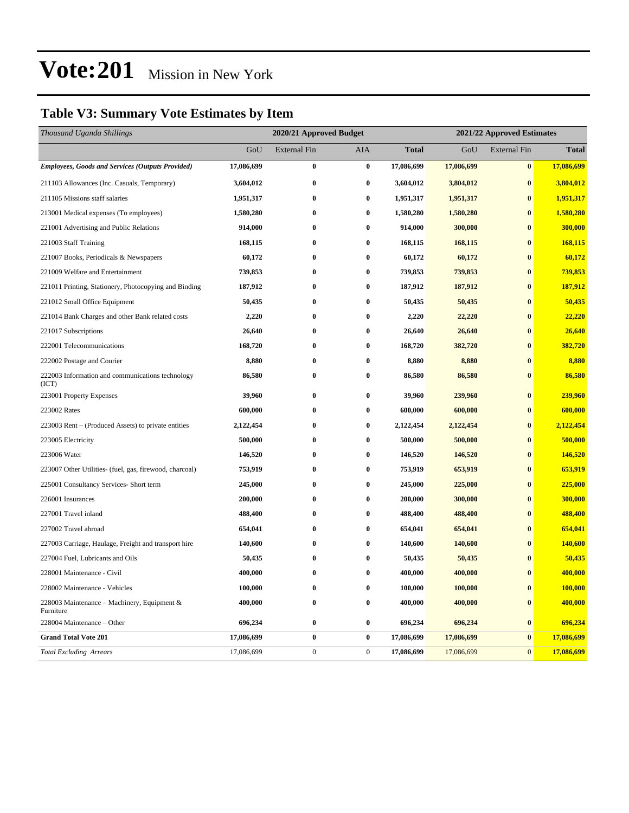#### **Table V3: Summary Vote Estimates by Item**

| Thousand Uganda Shillings                                   | 2020/21 Approved Budget |                     |              |              | 2021/22 Approved Estimates |                     |              |  |
|-------------------------------------------------------------|-------------------------|---------------------|--------------|--------------|----------------------------|---------------------|--------------|--|
|                                                             | GoU                     | <b>External Fin</b> | AIA          | <b>Total</b> | GoU                        | <b>External Fin</b> | <b>Total</b> |  |
| <b>Employees, Goods and Services (Outputs Provided)</b>     | 17,086,699              | $\bf{0}$            | $\bf{0}$     | 17,086,699   | 17,086,699                 | $\pmb{0}$           | 17,086,699   |  |
| 211103 Allowances (Inc. Casuals, Temporary)                 | 3,604,012               | $\bf{0}$            | $\bf{0}$     | 3,604,012    | 3,804,012                  | $\bf{0}$            | 3,804,012    |  |
| 211105 Missions staff salaries                              | 1,951,317               | $\bf{0}$            | $\bf{0}$     | 1,951,317    | 1,951,317                  | $\bf{0}$            | 1,951,317    |  |
| 213001 Medical expenses (To employees)                      | 1,580,280               | $\bf{0}$            | $\bf{0}$     | 1,580,280    | 1,580,280                  | $\bf{0}$            | 1,580,280    |  |
| 221001 Advertising and Public Relations                     | 914,000                 | $\bf{0}$            | $\bf{0}$     | 914,000      | 300,000                    | $\bf{0}$            | 300,000      |  |
| 221003 Staff Training                                       | 168,115                 | $\bf{0}$            | $\bf{0}$     | 168,115      | 168,115                    | $\bf{0}$            | 168,115      |  |
| 221007 Books, Periodicals & Newspapers                      | 60,172                  | $\bf{0}$            | $\bf{0}$     | 60,172       | 60,172                     | $\bf{0}$            | 60,172       |  |
| 221009 Welfare and Entertainment                            | 739,853                 | $\bf{0}$            | $\bf{0}$     | 739,853      | 739,853                    | $\bf{0}$            | 739,853      |  |
| 221011 Printing, Stationery, Photocopying and Binding       | 187,912                 | $\bf{0}$            | $\bf{0}$     | 187,912      | 187,912                    | $\bf{0}$            | 187,912      |  |
| 221012 Small Office Equipment                               | 50,435                  | $\bf{0}$            | $\bf{0}$     | 50,435       | 50,435                     | $\bf{0}$            | 50,435       |  |
| 221014 Bank Charges and other Bank related costs            | 2,220                   | $\bf{0}$            | $\bf{0}$     | 2,220        | 22,220                     | $\bf{0}$            | 22,220       |  |
| 221017 Subscriptions                                        | 26,640                  | $\bf{0}$            | $\bf{0}$     | 26,640       | 26,640                     | $\boldsymbol{0}$    | 26,640       |  |
| 222001 Telecommunications                                   | 168,720                 | $\bf{0}$            | $\bf{0}$     | 168,720      | 382,720                    | $\bf{0}$            | 382,720      |  |
| 222002 Postage and Courier                                  | 8,880                   | $\bf{0}$            | $\bf{0}$     | 8,880        | 8,880                      | $\bf{0}$            | 8,880        |  |
| 222003 Information and communications technology<br>(ICT)   | 86,580                  | $\bf{0}$            | $\bf{0}$     | 86,580       | 86,580                     | $\bf{0}$            | 86,580       |  |
| 223001 Property Expenses                                    | 39,960                  | $\bf{0}$            | $\bf{0}$     | 39,960       | 239,960                    | $\bf{0}$            | 239,960      |  |
| 223002 Rates                                                | 600,000                 | $\bf{0}$            | $\bf{0}$     | 600,000      | 600,000                    | $\boldsymbol{0}$    | 600,000      |  |
| 223003 Rent – (Produced Assets) to private entities         | 2,122,454               | $\bf{0}$            | $\bf{0}$     | 2,122,454    | 2,122,454                  | $\bf{0}$            | 2,122,454    |  |
| 223005 Electricity                                          | 500,000                 | $\bf{0}$            | $\bf{0}$     | 500,000      | 500,000                    | $\bf{0}$            | 500,000      |  |
| 223006 Water                                                | 146,520                 | $\bf{0}$            | $\bf{0}$     | 146,520      | 146,520                    | $\bf{0}$            | 146,520      |  |
| 223007 Other Utilities- (fuel, gas, firewood, charcoal)     | 753,919                 | $\bf{0}$            | $\bf{0}$     | 753,919      | 653,919                    | $\bf{0}$            | 653,919      |  |
| 225001 Consultancy Services- Short term                     | 245,000                 | $\bf{0}$            | $\bf{0}$     | 245,000      | 225,000                    | $\bf{0}$            | 225,000      |  |
| 226001 Insurances                                           | 200,000                 | $\bf{0}$            | $\bf{0}$     | 200,000      | 300,000                    | $\bf{0}$            | 300,000      |  |
| 227001 Travel inland                                        | 488,400                 | $\bf{0}$            | $\bf{0}$     | 488,400      | 488,400                    | $\bf{0}$            | 488,400      |  |
| 227002 Travel abroad                                        | 654,041                 | $\bf{0}$            | $\bf{0}$     | 654,041      | 654,041                    | $\bf{0}$            | 654,041      |  |
| 227003 Carriage, Haulage, Freight and transport hire        | 140,600                 | $\bf{0}$            | $\bf{0}$     | 140,600      | 140,600                    | $\bf{0}$            | 140,600      |  |
| 227004 Fuel, Lubricants and Oils                            | 50,435                  | $\bf{0}$            | $\bf{0}$     | 50,435       | 50,435                     | $\bf{0}$            | 50,435       |  |
| 228001 Maintenance - Civil                                  | 400,000                 | $\bf{0}$            | $\bf{0}$     | 400,000      | 400,000                    | $\bf{0}$            | 400,000      |  |
| 228002 Maintenance - Vehicles                               | 100,000                 | $\bf{0}$            | $\bf{0}$     | 100,000      | 100,000                    | $\bf{0}$            | 100,000      |  |
| 228003 Maintenance – Machinery, Equipment $\&$<br>Furniture | 400,000                 | $\bf{0}$            | $\bf{0}$     | 400,000      | 400,000                    | $\bf{0}$            | 400,000      |  |
| 228004 Maintenance – Other                                  | 696,234                 | $\bf{0}$            | $\bf{0}$     | 696,234      | 696,234                    | $\bf{0}$            | 696,234      |  |
| <b>Grand Total Vote 201</b>                                 | 17,086,699              | $\bf{0}$            | $\bf{0}$     | 17,086,699   | 17,086,699                 | $\bf{0}$            | 17,086,699   |  |
| <b>Total Excluding Arrears</b>                              | 17,086,699              | $\boldsymbol{0}$    | $\mathbf{0}$ | 17,086,699   | 17,086,699                 | $\boldsymbol{0}$    | 17,086,699   |  |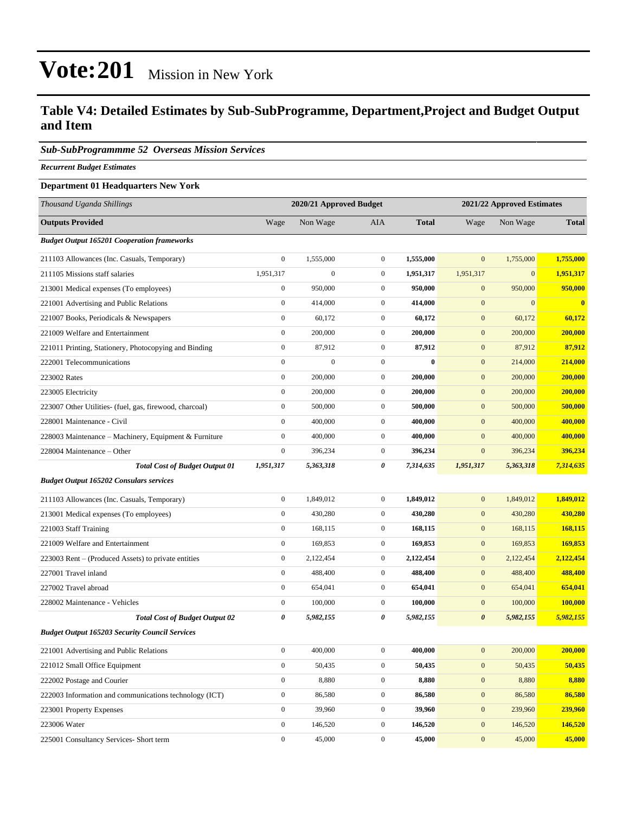#### **Table V4: Detailed Estimates by Sub-SubProgramme, Department,Project and Budget Output and Item**

#### *Sub-SubProgrammme 52 Overseas Mission Services*

*Recurrent Budget Estimates*

#### **Department 01 Headquarters New York**

| Thousand Uganda Shillings                               | 2020/21 Approved Budget |                  |                  | 2021/22 Approved Estimates |                       |              |              |
|---------------------------------------------------------|-------------------------|------------------|------------------|----------------------------|-----------------------|--------------|--------------|
| <b>Outputs Provided</b>                                 | Wage                    | Non Wage         | AIA              | <b>Total</b>               | Wage                  | Non Wage     | <b>Total</b> |
| <b>Budget Output 165201 Cooperation frameworks</b>      |                         |                  |                  |                            |                       |              |              |
| 211103 Allowances (Inc. Casuals, Temporary)             | $\boldsymbol{0}$        | 1,555,000        | $\overline{0}$   | 1,555,000                  | $\mathbf{0}$          | 1,755,000    | 1,755,000    |
| 211105 Missions staff salaries                          | 1,951,317               | $\boldsymbol{0}$ | $\mathbf{0}$     | 1,951,317                  | 1,951,317             | $\mathbf{0}$ | 1,951,317    |
| 213001 Medical expenses (To employees)                  | $\boldsymbol{0}$        | 950,000          | $\mathbf{0}$     | 950,000                    | $\mathbf{0}$          | 950,000      | 950,000      |
| 221001 Advertising and Public Relations                 | $\boldsymbol{0}$        | 414,000          | $\mathbf{0}$     | 414,000                    | $\mathbf{0}$          | $\mathbf{0}$ | $\bf{0}$     |
| 221007 Books, Periodicals & Newspapers                  | $\boldsymbol{0}$        | 60,172           | $\boldsymbol{0}$ | 60,172                     | $\mathbf{0}$          | 60,172       | 60,172       |
| 221009 Welfare and Entertainment                        | $\boldsymbol{0}$        | 200,000          | $\overline{0}$   | 200,000                    | $\mathbf{0}$          | 200,000      | 200,000      |
| 221011 Printing, Stationery, Photocopying and Binding   | $\boldsymbol{0}$        | 87,912           | $\mathbf{0}$     | 87,912                     | $\mathbf{0}$          | 87,912       | 87,912       |
| 222001 Telecommunications                               | $\boldsymbol{0}$        | $\mathbf{0}$     | $\mathbf{0}$     | $\mathbf{0}$               | $\mathbf{0}$          | 214,000      | 214,000      |
| 223002 Rates                                            | $\boldsymbol{0}$        | 200,000          | $\overline{0}$   | 200,000                    | $\mathbf{0}$          | 200,000      | 200,000      |
| 223005 Electricity                                      | $\boldsymbol{0}$        | 200,000          | $\mathbf{0}$     | 200,000                    | $\mathbf{0}$          | 200,000      | 200,000      |
| 223007 Other Utilities- (fuel, gas, firewood, charcoal) | $\boldsymbol{0}$        | 500,000          | $\mathbf{0}$     | 500,000                    | $\mathbf{0}$          | 500,000      | 500,000      |
| 228001 Maintenance - Civil                              | $\boldsymbol{0}$        | 400,000          | $\mathbf{0}$     | 400,000                    | $\mathbf{0}$          | 400,000      | 400,000      |
| 228003 Maintenance - Machinery, Equipment & Furniture   | $\boldsymbol{0}$        | 400,000          | $\mathbf{0}$     | 400,000                    | $\mathbf{0}$          | 400,000      | 400,000      |
| 228004 Maintenance – Other                              | $\boldsymbol{0}$        | 396,234          | $\boldsymbol{0}$ | 396,234                    | $\boldsymbol{0}$      | 396,234      | 396,234      |
| <b>Total Cost of Budget Output 01</b>                   | 1,951,317               | 5,363,318        | 0                | 7,314,635                  | 1,951,317             | 5,363,318    | 7,314,635    |
| <b>Budget Output 165202 Consulars services</b>          |                         |                  |                  |                            |                       |              |              |
| 211103 Allowances (Inc. Casuals, Temporary)             | $\boldsymbol{0}$        | 1,849,012        | $\mathbf{0}$     | 1,849,012                  | $\mathbf{0}$          | 1,849,012    | 1,849,012    |
| 213001 Medical expenses (To employees)                  | $\boldsymbol{0}$        | 430,280          | $\mathbf{0}$     | 430,280                    | $\mathbf{0}$          | 430,280      | 430,280      |
| 221003 Staff Training                                   | $\boldsymbol{0}$        | 168,115          | $\mathbf{0}$     | 168,115                    | $\mathbf{0}$          | 168,115      | 168,115      |
| 221009 Welfare and Entertainment                        | $\boldsymbol{0}$        | 169,853          | $\overline{0}$   | 169,853                    | $\mathbf{0}$          | 169,853      | 169,853      |
| 223003 Rent – (Produced Assets) to private entities     | $\boldsymbol{0}$        | 2,122,454        | $\mathbf{0}$     | 2,122,454                  | $\mathbf{0}$          | 2,122,454    | 2,122,454    |
| 227001 Travel inland                                    | $\boldsymbol{0}$        | 488,400          | $\mathbf{0}$     | 488,400                    | $\bf{0}$              | 488,400      | 488,400      |
| 227002 Travel abroad                                    | $\boldsymbol{0}$        | 654,041          | $\mathbf{0}$     | 654,041                    | $\mathbf{0}$          | 654,041      | 654,041      |
| 228002 Maintenance - Vehicles                           | $\boldsymbol{0}$        | 100,000          | $\mathbf{0}$     | 100,000                    | $\mathbf{0}$          | 100,000      | 100.000      |
| <b>Total Cost of Budget Output 02</b>                   | $\boldsymbol{\theta}$   | 5,982,155        | 0                | 5,982,155                  | $\boldsymbol{\theta}$ | 5,982,155    | 5,982,155    |
| <b>Budget Output 165203 Security Council Services</b>   |                         |                  |                  |                            |                       |              |              |
| 221001 Advertising and Public Relations                 | $\boldsymbol{0}$        | 400,000          | $\mathbf{0}$     | 400,000                    | $\mathbf{0}$          | 200,000      | 200,000      |
| 221012 Small Office Equipment                           | $\boldsymbol{0}$        | 50,435           | $\boldsymbol{0}$ | 50,435                     | $\mathbf{0}$          | 50,435       | 50,435       |
| 222002 Postage and Courier                              | $\boldsymbol{0}$        | 8,880            | $\boldsymbol{0}$ | 8,880                      | $\boldsymbol{0}$      | 8,880        | 8,880        |
| 222003 Information and communications technology (ICT)  | $\boldsymbol{0}$        | 86,580           | $\boldsymbol{0}$ | 86,580                     | $\mathbf{0}$          | 86,580       | 86,580       |
| 223001 Property Expenses                                | $\boldsymbol{0}$        | 39,960           | $\boldsymbol{0}$ | 39,960                     | $\boldsymbol{0}$      | 239,960      | 239,960      |
| 223006 Water                                            | $\boldsymbol{0}$        | 146,520          | $\boldsymbol{0}$ | 146,520                    | $\mathbf{0}$          | 146,520      | 146,520      |
| 225001 Consultancy Services- Short term                 | $\boldsymbol{0}$        | 45,000           | $\boldsymbol{0}$ | 45,000                     | $\mathbf{0}$          | 45,000       | 45,000       |